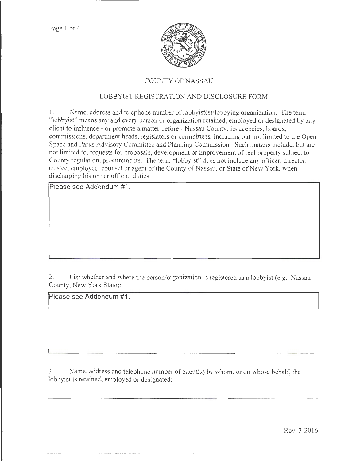Page 1 of 4



# COUNTY OF NASSAU

# LOBBYIST REGISTRATION AND DISCLOSURE FORM

1. Name. address and telephone number of lobbyist(s)/lobbying organization. The tenn "lobbyist" means any and every person or organization retained, employed or designated by any client to influence- or promote a matter before- Nassau County, *its* agencies, boards, commissions, department heads, legislators or committees, including but not limited to the Open Space and Parks Advisory Committee and Planning Commission. Such matters include, but arc not limited to, requests for proposals, development or improvement of real property subject to County regulation. procurements. The term " lobbyist" does not include any officer, director, trustee, employee, counsel or agent of the County of Nassau, or State of New York, when discharging his or her official duties.

**Please see Addendum #1.** 

2. List whether and where the person/organization is registered as a lobbyist (e.g., Nassau County, New York State):

**Please see Addendum #1.** 

3. Name. address and telephone number of client(s) by whom. or on whose behalf, the lobbyist is retained, employed or designated: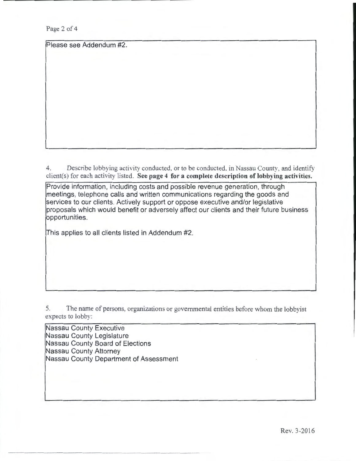Page 2 of 4

Please see Addendum #2.

4. Describe lobbying activity conducted, or to be conducted, in Nassau County, and identify client(s) for each activity listed. See page 4 for a complete description of lobbying activities.

Provide information, including costs and possible revenue generation, through meetings, telephone calls and written communications regarding the goods and services to our clients. Actively support or oppose executive and/or legislative proposals which would benefit or adversely affect our clients and their future business opportunities.

This applies to all clients listed in Addendum #2.

5. The name of persons, organizations or governmental entities before whom the lobbyist expects to lobby:

Nassau County Executive Nassau County Legislature Nassau County Board of Elections Nassau County Attorney Nassau County Department of Assessment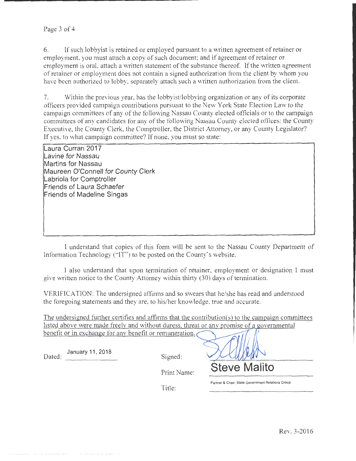6. If such lobbyist is retained or employed pursuant to a written agreement of retainer or employment. you must attach a copy of such document; and if agreement of retainer or employment is oral, attach a written statement of the substance thereof. If the written agreement of retainer or employment does not contain a signed authorization from the client by whom you have been authorized to lobby. separately attach such a written authorization from the client.

7. Within the previous year, has the lobbyist/lobbying organization or any of its corporate officers provided campaign contributions pursuant to the New York State Election Law to the campaign committees of any of the following Nassau County elected officials or to the campaign committees of any candidates tor any of the following Nassau County elected offices: the County Executive, the County Clerk, the Comptroller, the District Attorney, or any County Legislator? If yes. to what campaign committee? If none, you must so state:

**Laura Curran 2017 Lavine for Nassau Martins for Nassau Maureen O'Connell for County Clerk Labriola for Comptroller Friends of Laura Schaefer Friends of Madeline Singas** 

I understand that copies of this form will be sent to the Nassau County Department of Information Technology ("IT") to be posted on the County's website.

I also understand that upon termination of retainer, employment or designation I must give written notice to the County Attorney within thirty (30) days of termination.

VERlFICATION: The undersigned affirms and so swears that he/she has read and understood the foregoing statements and they are, to hjs/her knowledge, true and accurate.

The undersigned further certifies and affirms that the contribution(s) to the campaign committees listed above were made freely and without duress, threat or any promise of a governmental benefit or in exchange for any benefit or remuneration.

January 11 , 2018 Dated: Signed:

Print Name:

**Steve Malito** 

**Partner & Chair, State Government Relations Group** 

Title: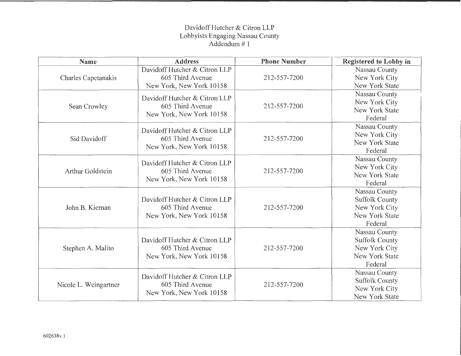# Davidoff Hutcher & Citron LLP Lobbyists Engaging Nassau County Addendum # 1

| Name                  | <b>Address</b>                                                                | <b>Phone Number</b> | <b>Registered to Lobby in</b>                                                               |
|-----------------------|-------------------------------------------------------------------------------|---------------------|---------------------------------------------------------------------------------------------|
| Charles Capetanakis   | Davidoff Hutcher & Citron LLP<br>605 Third Avenue<br>New York, New York 10158 | 212-557-7200        | Nassau County<br>New York City<br>New York State                                            |
| Sean Crowley          | Davidoff Hutcher & Citron LLP<br>605 Third Avenue<br>New York, New York 10158 | 212-557-7200        | Nassau County<br>New York City<br>New York State<br>Federal                                 |
| Sid Davidoff          | Davidoff Hutcher & Citron LLP<br>605 Third Avenue<br>New York, New York 10158 | 212-557-7200        | Nassau County<br>New York City<br>New York State<br>Federal                                 |
| Arthur Goldstein      | Davidoff Hutcher & Citron LLP<br>605 Third Avenue<br>New York, New York 10158 | 212-557-7200        | Nassau County<br>New York City<br>New York State<br>Federal                                 |
| John B. Kiernan       | Davidoff Hutcher & Citron LLP<br>605 Third Avenue<br>New York, New York 10158 | 212-557-7200        | Nassau County<br><b>Suffolk County</b><br>New York City<br><b>New York State</b><br>Federal |
| Stephen A. Malito     | Davidoff Hutcher & Citron LLP<br>605 Third Avenue<br>New York, New York 10158 | 212-557-7200        | Nassau County<br><b>Suffolk County</b><br>New York City<br><b>New York State</b><br>Federal |
| Nicole L. Weingartner | Davidoff Hutcher & Citron LLP<br>605 Third Avenue<br>New York, New York 10158 | 212-557-7200        | Nassau County<br><b>Suffolk County</b><br>New York City<br>New York State                   |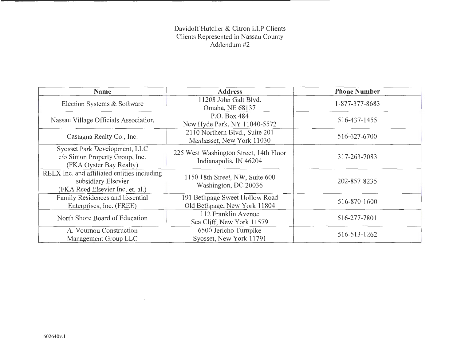# Davidoff Hutcher & Citron LLP Clients Clients Represented in Nassau County Addendum #2

| <b>Name</b>                                                                                            | <b>Address</b>                                                   | <b>Phone Number</b> |
|--------------------------------------------------------------------------------------------------------|------------------------------------------------------------------|---------------------|
| Election Systems & Software                                                                            | 11208 John Galt Blvd.<br>Omaha, NE 68137                         | 1-877-377-8683      |
| Nassau Village Officials Association                                                                   | P.O. Box 484<br>New Hyde Park, NY 11040-5572                     | 516-437-1455        |
| Castagna Realty Co., Inc.                                                                              | 2110 Northern Blvd., Suite 201<br>Manhasset, New York 11030      | 516-627-6700        |
| Syosset Park Development, LLC<br>c/o Simon Property Group, Inc.<br>(FKA Oyster Bay Realty)             | 225 West Washington Street, 14th Floor<br>Indianapolis, IN 46204 | 317-263-7083        |
| RELX Inc. and affiliated entities including<br>subsidiary Elsevier<br>(FKA Reed Elsevier Inc. et. al.) | 1150 18th Street, NW, Suite 600<br>Washington, DC 20036          | 202-857-8235        |
| Family Residences and Essential<br>Enterprises, Inc. (FREE)                                            | 191 Bethpage Sweet Hollow Road<br>Old Bethpage, New York 11804   | 516-870-1600        |
| North Shore Board of Education                                                                         | 112 Franklin Avenue<br>Sea Cliff, New York 11579                 | 516-277-7801        |
| A. Vournou Construction<br>Management Group LLC                                                        | 6500 Jericho Turnpike<br>Syosset, New York 11791                 | 516-513-1262        |

 $\sim$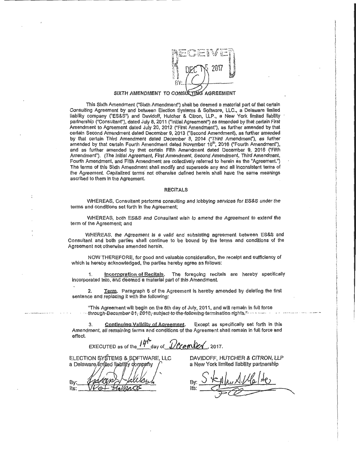

#### SIXTH AMENDMENT TO CONSULTING AGREEMENT

This Sixth Amendment ("Sixth Amendment") shall be deemed a material part of that certain Consulting Agreement by and between Election Systems & Software, LLC., a Delaware limited liability company ("ES&S") and Davidoff, Hutcher & Citron, LLP., a New York limited liability partnership ("Consultant"), dated July 8, 2011 ("Initial Agreement") as amended by that certain First Amendment to Agreement dated July 20, 2012 ("First Amendment"), as further amended by that certain Second Amendment dated December 9, 2013 ("Second Amendment), as further amended by that certain Third Amendment dated December 8, 2014 ("Third Amendment"), as further amended by that certain Fourth Amendment dated November 10<sup>th</sup>, 2016 ("Fourth Amendment"), and as further amended by that certain Fifth Amendment dated December 9, 2016 ("Fifth Amendment"). (The Initial Agreement, First Amendment, Second Amendment, Third Amendment, Fourth Amendment, and Fifth Amendment are collectively referred to herein as the "Agreement.") The terms of this Sixth Amendment shall modify and supersede any and all Inconsistent terms of the Agreement. Capitalized terms not otherwise defined herein shall have the same meanings ascribed to them In the Agreement.

#### RECITALS

WHEREAS, Consultant performs consulting and lobbying services for ES&S under the terms and conditions set forth In the Agreement;

WHEREAS, both ES&S and Consultant wish to amend the Agreement to extend the term of the Agreement; and

WHEREAS, the Agreement Is a valid and subsisting agreement between ES&S and Consultant and both parties shall continue to be bound by the terms and conditions of the Agreement not otherwise amended herein.

NOW THEREFORE, for good and valuable consideration, the receipt and sufficiency of which is hereby acknowledged, the parties hereby agree as follows:

1. Incorporation of Recitals. The foregoing recitals are hereby specifically Incorporated Into, and deemed a material part of this Amendment.

2. Ierm. Paragraph 6 of the Agreement is hereby amended by deleting the first sentence and replacing It with the following:

"This Agreement will begin on the 8th day of July, 2011, and will remain In full force ·through-December-31, 2018, subject-to-the-following-termination-rights." ... .. .. ...

3. Continuing Validity of Agreement. Except as specifically set forth in this Amendment, all remaining terms and conditions of the Agreement shall remain in full force and effect.

EXECUTED as of the  $14r^2$  day of  $D$  exempt  $\ell$ , 2017.

ELECTION SYSTEMS & SOFTWARE, LLC a Delaware limited liability company

Bv lts:

DAVIDOFF, HUTCHER & CITRON, LLP a New York limited liability partnership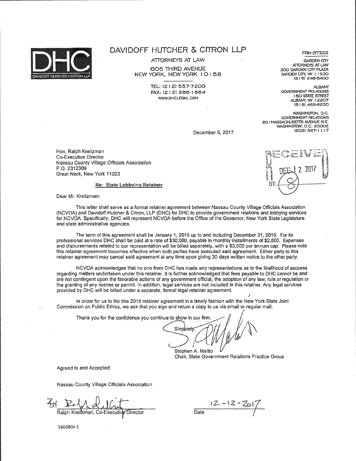

r----------------------------------

# **DAVIDOFF HUTCHER & CITRON LLP**

ATTORNEYS AT LAW

605 THIRD AVENUE NEW YORK, NEW YORK I 0 I 58

> TEL: (2 I 2l 557-7200 FAX: (2 I 2) 286-1 884 WWW.DHCLEGAL.COM

**FIRM OFFICES GARDEN CITY** 

ATTORNEYS AT LAW 200 GARDEN CITY PLAZA GARDEN CITY, NY I I 530 15 I 81 248·8400

ALBANY<br>GOVERNMENT RELATIONS I 50 STATE STREET ALBANY, NY 12207 15 I 81 465-8230

WASHINGTON, D.C. GOVERNMENT RELATIONS 20 I MASSACHUSETTS AVENUE N.E. WASHINGTON, D.C. 20002 12021347-1 I 17

December 5, 2017

Hon. Ralph Kreitzman Co-Executive Director Nassau County Village Officials Association P.O. 2312309 Great Neck, New York 11023

#### Re: State Lobbying Retainer

Dear Mr. Kreitzman:

This letter shall serve as a formal retainer agreement between Nassau County Village Officials Association (NCVOA) and Davidoff Hutcher & Citron, LLP (DHC) for DHC to provide government relations and lobbying services for NCVOA. Specifically, DHC will represent NCVOA before the Office of the Governor, New York State Legislature and state administrative agencies.

The term of this agreement shall be January 1, 2018 up to and including December 31, 2018. For its professional services DHC shall be paid at a rate of \$30,000, payable in monthly installments of \$2,500. Expenses and disbursements related to our representation will be billed separately, with a \$3,500 per annum cap. Please note this retainer agreement becomes effective when both parties have executed said agreement. Either party to this retainer agreement may cancel said agreement at any time upon giving 30 days written notice to the other party.

NCVOA acknowledges that no one from DHC has made any representations as to the likelihood of success regarding matters undertaken under this retainer. It Is further acknowledged that fees payable to DHC cannot be and are not contingent upon the favorable actions of any government official, the adoption of any law, rule or regulation or the granting of any license or permit. In addition, legal services are not included in this retainer. Any legal services provided by DHC will be billed under a separate, formal legal retainer agreement.

In order for us to file this 2018 retainer agreement in a timely fashion with the New York. State Joint Commission on Public Ethics, we ask that you sign and return a copy to us via email or regular mail.

Thank you for the confidence you continue to show in our firm.

Singerely

Stephen A. Malito Stephen A. Malito<br>Chair, State Government Relations Practice Group

I

Agreed to and Accepted:

Nassau County Village Officials Association

Ralph Kreitzman, Co-Executiv Director

 $\frac{12 - 12 - 201}{\frac{52}{2}}$ 

560080v.l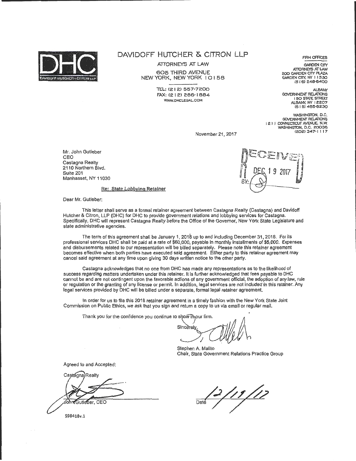

# DAVIDOFF HUTCHER & CITRON LLP

ATTORNEYS AT LAW

605 THIRD AVENUE NEW YORK, NEW YORK I 0 I 58

> 'TEL: 1212) 557·7200 FAX: (2 I 2) 286·1 884 WWW.DHCLEGAL.COM

**FIRM OFFICES** 

GARDEN CITY<br>ATTORNEYS AT LAW 200 GARDEN CITY PLAZA GARDEN CITY. NY I I 530 (516) 248-6400

ALBANY GOVERNMENT RELATIONS I 50 STATE STREEr ALBAN'(, NY I 2207 (5 I 8l 465-8230

WASHINGTON, D.C. GOVERNMENT RELATIONS I 2 I I CONNECTICUT AVENUE, N.W. WASHINGTON, D.C. 20036 (2.02.) 347·1 I I 7

November 21, 2017

Mr. John Gutleber CEO Castagna Realty 2110 Northern Blvd. Suite 201 Manhasset, NY 11030



Re: State Lobbying Retainer

Dear Mr. Gutleber:

This letter shall serve as a formal retainer agreement between Castagna Realty (Castagna) and Davidoff Hutcher & Citron, LLP (DHC) for DHC to provide government relations and lobbying services for Castagna. Specifically, DHC will represent Castagna Realty before the Office of the Governor, New York State Legislature and state administrative agencies.

The term of this agreement shall be January 1, 2018 up to and including December 31, 2018. For its professional services DHC shall be paid at a rate of \$60,000, payable In monthly installments of \$5,000. Expenses and disbursements related to our representation will be billed separately. Please note this retainer agreement becomes effective when both parties have executed said agreement. Either party to this retainer agreement may cancel said agreement at any time upon giving 30 days written notice to the other party.

Castagna acknowledges that no one from DHC has made any representations as to the likelihood of success regarding matters undertaken under this retainer. It Is further acknowledged that fees payable to OHC cannot be and are not contingent upon the favorable actions of any government official, the adoption of any law, rule or regulation or the granting of any license or permit. In addition, legal services are not included in this retainer. Any legal services provided by DHC will be billed under a separate, formal legal retainer agreement.

In order for us to file this 2018 retainer agreement in a timely fashion with the New York State Joint Commission on Public Ethics, we ask that you sign and return a copy to us via email or regular mail.

Thank you for the confidence you continue to show theour firm.

Sincerely <..\_

Stephen A. Malito Chair, State Government Relations Practice Group

Agreed to and Accepted:

Castagna Realty Gutleber, CEO

598418v.1

<u>2/11/12</u>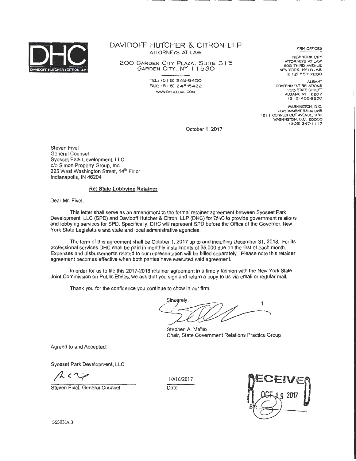

DAVIDOFF HUTCHER & CITRON LLP ATTORNEYS AT LAW

200 GARDEN CITY PLAZA, SUITE 3 I 5 GARDEN CITY, NY I I 530

> TEL: (516) 248-6400 FAX: (5 I 6) 248·6422 WWW. DHCLEGAL. COM

**FIRM OFFICES** 

NEW YORK CITY<br>ATTORNEYS AT LAW 605 THIRD AVENUE NEW YORK, NY IO I 58 12 I 2! 557· 7200

ALBANY GOVERNMENT RELATIONS I 50 STATE STREET ALBANY, NY 12207 (5 I 6) 465-6230

WASHINGTON, D.C. **GOVERNMENT RELATIONS** I 2 I I CONNECfiCUT AVENUE, N.W. WASHINGTON, D.C. 20036 !202) 347·1 I 17

October 1, 2017

Steven Fivel General Counsel Syosset Park Development, LLC c/o Simon Property Group, Inc. 225 West Washington Street, 14<sup>th</sup> Floor Indianapolis, IN 46204

#### Re: State Lobbying Retainer

Dear Mr. Fivel:

This letter shall serve as an amendment to the formal retainer agreement between Syosset Park Development, LLC (SPD) and Davidoff Hutcher & Citron, LLP (DHC) for DHC to provide government relations and lobbying services for SPD. Specifically, DHC will represent SPD before the Office of the Governor, New York State Legislature and state and local administrative agencies.

The term of this agreement shall be October 1, 2017 up to and including December 31,2018. For its professional services DHC shall be paid in monthly installments of \$5,000 due on the first of each month. Expenses and disbursements related to our representation will be billed separately. Please note this retainer agreement becomes effective when both parties have executed said agreement.

In order for us to file this 2017-2018 retainer agreement in a timely fashion with the New York State Joint Commission on Public Ethics, we ask that you sign and return a copy to us via email or regular mail.

Thank you for the confidence you continue to show in our firm.

Sinegrely,

Stephen A. Malito Chair, State Government Relations Practice Group

Agreed to and Accepted:

Syosset Park Development, LLC

 $A\subset\mathbb{C}$ 

Steven Fivel, General Counsel

I 0/16/2017



555031v.3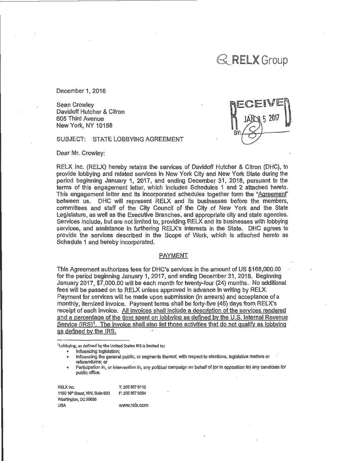# $\mathbb{R}$  RELX Group

December 1, 2016

Sean Crowley Davidoff Hutcher & Citron 605 Third Avenue New York, NY 10158

SUBJECT: STATE LOBBYING AGREEMENT

Dear Mr. Crowley:

RELX Inc. (RELX) hereby retains the services of Davidoff Hutcher & Citron (DHC), to provide lobbying and related services in New York City and New York State during the period beginning January 1, 2017, and ending December 31, 2018, pursuant to the terms of this engagement letter, which includes Schedules 1 and 2 attached hereto. This engagement letter and its incorporated schedules together form the "Agreement" between us. DHC will represent RELX and Its businesses before the members, committees and staff of the City Council of the City of New York and the State Legislature, as well as the Executive Branches, and appropriate city and state agencies. Services include, but are not limited to, providing RELX and its businesses with lobbying services, and assistance in furthering RELX's interests in the State. DHC agrees to provide the services described in the Scope of Work, which is attached hereto as Schedule 1 and hereby incorporated.

#### PAYMENT

This Agreement authorizes fees for DHC's services in the amount of US \$168,000.00 for the period beginning January 1, 2017, and ending December 31, 2018. Beginning January 2017, \$7,000.00 will be each month for twenty-four (24) months. No additional fees will be passed on to RELX unless approved in advance in writing by RELX. Payment for services will be made upon submission (in arrears) and acceptance of a monthly, itemized invoice. Payment terms shall be forty-five (45) days from RELX's receipt of each invoice. All invoices shall include a description of the services rendered and a percentage of the time spent on lobbying as defined by the U.S. lnternai Revenue Service (IRS)<sup>1</sup>. The invoice shall also list those activities that do not qualify as lobbying as defined by the IRS.

1lobbylng, as defined by the United States IRS is limited to:

Influencing legislation;

Influencing the general public, or segments thereof, with respect to elections, legislative matters or referendums; or

Participation in, or intervention in, any political campaign on behalf of (or in opposition to) any candidate for public office.

RELXInc. T: 202 857 9112 1150 18<sup>th</sup> Street, NW, Suite 600 F: 202 857 8294 Washington, DC 20036 USA www.relx.com

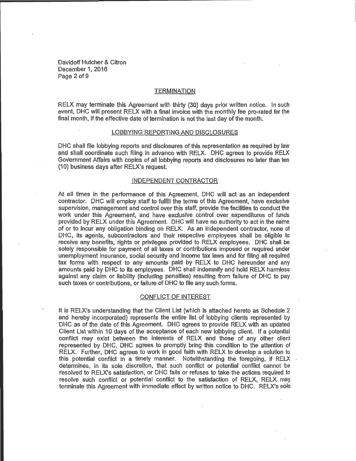Davidoff Hutcher & Citron December 1, 2016 Page 2 of 9

#### **TERMINATION**

RELX may terminate this Agreement with thirty (30) days prior written notice. In such event, DHC will present RELX with a final invoice with the monthly fee pro-rated for the final month, if the effective date of termination is not the last day of the month.

#### LOBBYING REPORTING AND DISCLOSURES

DHC shall file lobbying reports and disclosures of this representation as required by taw and shall coordinate such filing in advance with RELX. DHC agrees to provide RELX GoVernment Affairs with copies of all lobbying reports and disclosures no tater than ten (1 0) business days after RELX's. request.

#### INDEPENDENT CONTRACTOR

At all times in the performance of this Agreement, DHC will act as an independent contractor. DHC wiil employ staff to fulfill the terms of this Agreement, have exclusive supervision, management and control over this staff, provide the facilities to conduct the work under this Agreement, and have exclusive control over expenditures of funds provided by RELX under this Agreement. DHC will have no authority to act in the name of or to incur any obligation binding on RELX. As an independent contractor, none of DHC, its agents, subcontractors and their respective employees shall be eligible to receive any benefits, rights or privileges provided to RELX employees. DHC shall be solely responsible for payment of all taxes or contributions imposed or required under unemployment insurance, social security and income tax laws and for filing all required tax forms with respect to any amounts paid by RELX to DHC hereunder and any amounts paid by DHC to its employees. DHC shall indemnify and hold RELX harmless against any claim or liability (including penalties) resulting from failure of DHC to pay such taxes or contributions, or failure of DHC to file any such forms.

#### CONFLICT OF INTEREST

It is RELX's understanding that the Client List (which is attached hereto as Schedule 2 and hereby incorporated) represents the entire list of lobbying clients represented by DHC as of the date of this Agreement. DHC agrees to provide RELX with an updated Client List within 10 days of the acceptance of each new lobbying client. If a potential conflict may exist between the interests of RELX and those of any other client represented by DHC, DHC agrees to promptly bring this condition to the attention of RELX. Further, DHC agrees to work in good faith With RELX to develop a solution to this potential conflict ih a timely manner. Notwithstanding the foregoing, if RELX determines, in its sole discretion, that such conflict or potential conflict cannot be resolved to RELX's satisfaction, or DHC fails or refuses to take the actions required to resolve such conflict or potential conflict to the satisfaction of RELX, RELX may terminate this Agreement with immediate effect by written notice to DHC. RELX's sole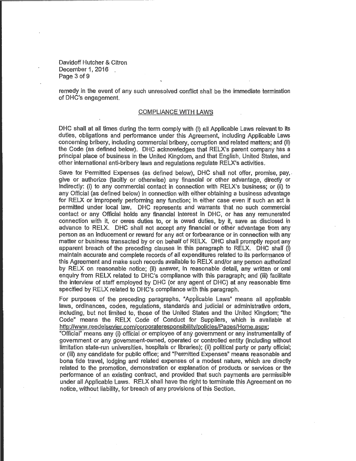Davidoff Hutcher & Citron December 1, 2016 Page 3 of 9

remedy in the event of any such unresolved conflict shail be the immediate termination of DHC's engagement.

#### COMPLIANCE WITH LAWS

DHC shall at all times during the term comply with (i) all Applicable Laws relevant to its duties, obligations and performance under this Agreement, including Applicable Laws concerning bribery, including commercial bribery, corruption and related matters; and (ii) the Code (as defined below). DHC acknowledges that RELX's parent company has a principal place of business in the United Kingdom, and that English, United States, and other international anti-bribery laws and regulations regulate RELX's activities.

Save for Permitted Expenses (as defined below), DHC shall not offer, promise, pay, give or authorize (tacitly or otherwise) any financial or other advantage, directly or indirectly: (i) to any commercial contact in connection with RELX's business; or (ii) to any Official (as definecl below) in connection with either obtaining a business advantage for RELX or improperly performing any function; in either case even if such an act is permitted under local law. DHC represents and warrants that no such commercial contact or any Official holds any financial interest in DHC, or has any remunerated connection with it, or owes duties to, or is owed duties, by it, save as disclosed in advance to RELX. DHC shall not accept any financial or other advantage from any person as an inducement or reward for any act or forbearance or in connection with any matter or business transacted by or on behalf of RELX. DHC shall promptly report any apparent breach of the preceding clauses in this paragraph to RELX. DHC shall  $(i)$ maintain accurate and complete records of all expenditures related to its performance of this Agreement and make such records available to RELX and/or any person authorized by RELX on reasonable notice; (ii) answer, in reasonable detail; any written or oral enquiry from RELX related to DHC.'s compliance with this paragraph; and (iii) facilitate the interview of staff employed by DHC (or any agent of DHC) at any reasonable time specified by RELX related to DHC's compliance with this paragraph.

For purposes of the preceding paragraphs, "Applicable Laws" means all applicable laws, ordinances, codes, regulations, standards and judicial or administrative orders, including, but not limited to, those of the United States and the United Kingdom; "the Code" means the RELX Code of Conduct for Suppliers, which 'is available at http://www.reedelsevier.com/corporateresponsibility/policies/Pages/Home.aspx;

"Official" means any (i) official or employee of any government or any instrumentality of govemment or any government-owned, operated or controlled entity (including without limitation state-run universities, hospitals or libraries); (ii) political party or party official; or (iii) any candidate for public office; and "Permitted Expenses" means reasonable and bona fide travel, lodging and related expenses of a modest nature, which are directly related to the promotion, demonstration or explanation of products or services or the performance of an existing contract, and provided that such payments are permissible under all Applicable Laws. RELX shall have the right to terminate this Agreement on no notice, without liability, for breach of any provisions of this Section.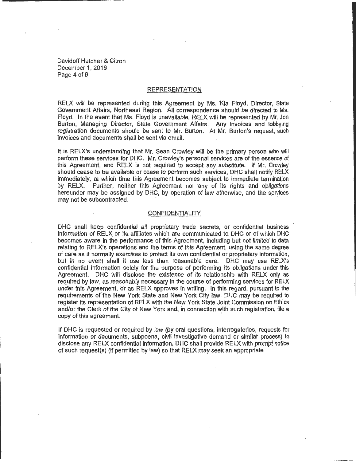Davidoff Hutcher & Citron December 1, 2016 Page 4 of 9

#### REPRESENTATION

RELX will be represented during this Agreement by Ms. Kia Floyd, Director, State Government Affairs, Northeast Region. All correspondence should be directed to Ms. Floyd. In the event that Ms. Floyd is unavailable, RELX will be represented by Mr. Jon Burton, Managing Director, State Government Affairs. Any ln\_volces and ·lobbying registration documents should be sent to Mr. Burton. At Mr. Burton's request, such invoices and documents shall be sent via email.

It is RELX's understanding that Mr. Sean Crowley will be the primary person who will perform these services for DHC. Mr. Crowley's personal services are of the essence of this Agreement, and RELX is not required to accept any substitute. If Mr. Crowley should cease to be available or cease to perform such services, DHC shall notify RELX immediately, at which time this Agreement becomes subject to immediate termination by RELX. Further, neither this Agreement nor any of its rights and obligations hereunder may be assigned by DHC, by operation of law otherwise, and the services may not be subcontracted.

#### CONFIDENTIALITY

DHC shall keep confidential all proprietary trade secrets, or confidential business information of RELX. or its affiliates which are communicated to. DHC or of Which DHC becomes aware in the performance of this Agreement, including but not limited to data relating to RELX's operations and the terms of this Agreement, using the same degree of care as it normally exercises to protect its own confidential or proprietary information, but in no event shall it use less than reasonable care. DHC may use RELX's confidential information solely for the purpose of performing its obligations under this Agreement. DHC will disclose the existence of its relationship with RELX only as required by law, as reasonably necessary in the course of performing services for RELX under this Agreement, or as RELX approves in writing. In this regard, pursuant to the requirements of the New York State and New York City law, DHC may be required to register its representation of RELX with the New York State Joint Commission on Ethics and/or the Clerk of the City of New York and, in connection with such registration, file a copy of this agreement.

If DHC is requested or required by law (by oral questions, Interrogatories, requests for information or documents, subpoena, civil investigative demand or similar process) to disclose any RELX confidential information, DHC shall provide RELX with prompt notice of such request(s) (if permitted by law) so that RELX may seek an appropriate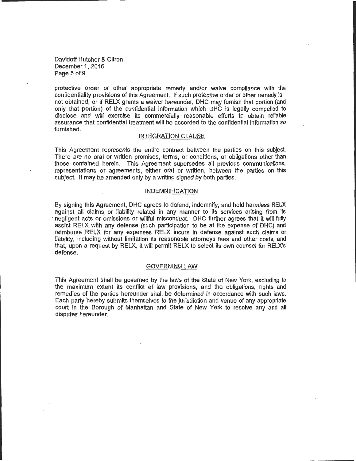Davidoff Hutcher & Citron December 1, 2016 Page 5 of 9

protective order or other appropriate remedy and/or waive compliance with the confidentiality provisions of this Agreement. If such protective order or other remedy is not obtained, or if RELX grants a waiver hereunder, DHC may furnish that portion (and only that portion) of the confidential information which DHC is legally compelled to disclose and will exercise its commercially reasonable efforts to obtain reliable assurance that confidential treatment will be accorded to the confidential information so furnished.

#### INTEGRATION CLAUSE

This Agreement represents the entire contract between the parties on this subject. There are no oral or written promises, terms, or conditions, or obligations other than those contained herein. This Agreement supersedes all previous communications, representations or agreements, either oral or written, between the parties on this subject. It may be amended only by a writing signed by both parties.

#### INDEMNIFICATION

By signing this Agreement, DHC agrees to defend, indemnify, and hold harmless RELX against all claims. or liability related in any manner to its services arising from its negligent acts or omissions or willful misconduct. DHC further agrees that it will fully assist RELX with any defense (such participation to be at the expense of DHC) and reimburse RELX for any expenses RELX incurs in defense against such claims or liability, including without limitation its reasonable attorneys fees and other costs, and that, upon a request by RELX, it Will permit RELX to select its own counsel for RELX's defense.

#### GOVERNING LAW

This Agreement shall be governed by the Jaws of the State of New York, excluding to the maximum extent its conflict of law provisions, and the obligations, rights and remedies of the parties hereunder shall be determined in accordance with such laws. Each party hereby submits themselves to the jurisdiction and venue of any appropriate court in the Borough of Manhattan and State of New York to resolve any and all disputes hereunder.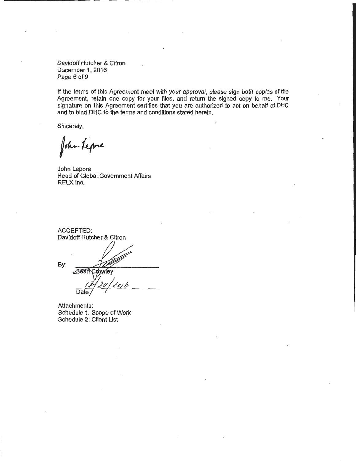Davidoff Hutcher & Citron December 1, 2016 Page 6 of 9

If the terms of this Agreement meet with your approval, please sign. both copies of the Agreement, retain one copy for your files, and return the signed copy to me. Your signature on this Agreement certifies that you are authorized to act on behalf of DHC and to bind DHC to the terms and conditions stated herein.

Sincerely,

John Lepre

John Lepore Head of Globai.Government Affairs RELX Inc.

ACCEPTED: Davidoff Hutcher & Citron By: owley ∠Seai Date

Attachments: Schedule 1: Scope of Work Schedule 2: Client List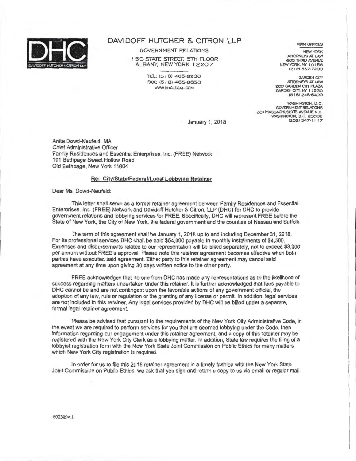

#### DAVIDOFF HUTCHER & CITRON LLP

GOVERNMENT RELATIONS

**I 50 STATE STREET. 5TH FLOOR** ALBANY, NEWYORK I 2207

> TEL: (518) 465-8230 FAX: (5 I 8) 465-8650 WWW. DHCLEGAL. COM

**FIRM OFFICES** 

NEW YORK ATTORNEYS AT LAW **605 THIRD AVENUE** NEW YORK, NY 10158 (212) 557-7200

**GARDEN CITY** ATTORNEYS AT LAW 200 GARDEN CITY PLAZA GARDEN CITY, NY I I 530 C5 I 6J 248-6400

WASHINGTON, U.C.<br>GOVERNMENT RELATIONS ZO I MASSACHUSETTS AVENUE N.E. WASHINGTON. D.C. 20002 C202J 347-1 I I 7

January 1, 2018

Anita Dowd-Neufeld, MA Chief Administrative Officer Family Residences and Essential Enterprises, Inc. (FREE) Network 191 Bethpage Sweet Hollow Road Old Bethpage, New York 11804

#### Re: City/State/Federal/Local Lobbying Retainer

Dear Ms. Dowd-Neufeld:

This letter shall serve as a formal retainer agreement between Family Residences and Essential Enterprises, Inc. (FREE) Network and Davidoff Hutcher & Citron, LLP (DHC) for DHC to provide government relations and lobbying services for FREE. Specifically, DHC will represent FREE before the State of New York, the City of New York, the federal government and the counties of Nassau and Suffolk.

The term of this agreement shall be January 1, 2018 up to and including December 31, 2018. For its professional services DHC shall be paid \$54,000 payable in monthly installments of \$4,500. Expenses and disbursements related to our representation will be billed separately, not to exceed \$3,000 per annum without FREE's approval. Please note this retainer agreement becomes effective when both parties have executed said agreement. Either party to this retainer agreement may cancel said agreement at any time upon giving 30 days written notice to the other party.

FREE acknowledges that no one from DHC has made any representations as to the likelihood of success regarding matters undertaken under this retainer. It is further acknowledged that fees payable to DHC cannot be and are not contingent upon the favorable actions of any government official, the adoption of any law, rule or regulation or the granting of any license or permit. In addition, legal services are not included in this retainer. Any legal services provided by DHC will be billed under a separate, formal legal retainer agreement.

Please be advised that pursuant to the requirements of the New York City Administrative Code, in the event we are required to perform services for you that are deemed lobbying under the Code, then information regarding our engagement under this retainer agreement, and a copy of this retainer may be registered with the New York City Clerk as a lobbying matter. In addition, State law requires the filing of a lobbyist registration form with the New York State Joint Commission on Public Ethics for many matters which New York City registration is required.

In order for us to file this 2018 retainer agreement in a timely fashion with the New York State Joint Commission on Public Ethics, we ask that you sign and return a copy to us via email or regular mail.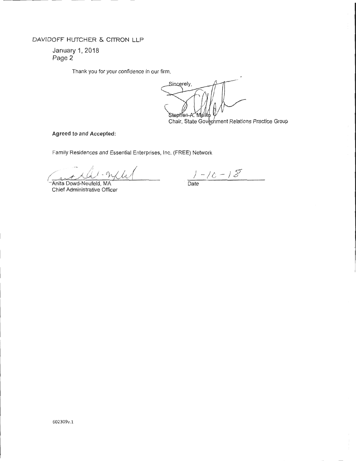## DAVIDOFF HUTCHER & CITRON LLP

January 1, 2018 Page 2

Thank you for your confidence in our firm.

Sincerely, Stephen-A

Chair, State Government Relations Practice Group

Agreed to and Accepted:

Family Residences and Essential Enterprises, Inc. (FREE) Network

ant All-M/4

Chief Administrative Officer

 $1 - 10 - 15$ 

- Date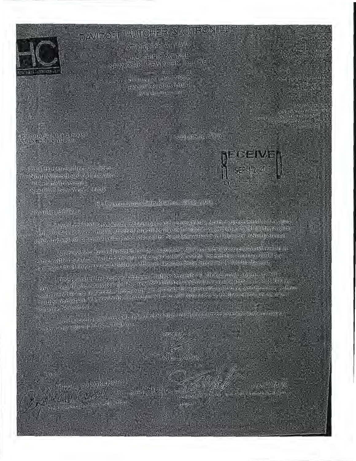

# DAVIDORE HUTCHER KIGITRONLES

ATTORIA STATE AWS **AND YOUR MELTING AVENUE**<br>AND WORK MEW YOUR TOUTS

**AND ALL ((2)** [2) 5357 7265 **EAST (2) A SHOP NEEDS** WWW.DIGITED.LOOK

**CONTRACTOR ANNOUNCEMENT CONTROL** 

eri stori zona (no 237 prince)<br>Lind Official Leon

Dre filosofundaenhuoralitesiden. North Store Board of J. Incalien-

HO Wearlook Asysons Sea Objective York 14549



e HROTO

Reference Albus Reading 2016-2017 - 20

ethemstor, Berliner and a

- this items and serve is an imanimum to and a reneval of a term at agreeman direct a right . 2 (14, 2011). Green, all which is all idiodical harder being in the inferior & Citron BHP (IDHC) is provider<br>Totals and and gave ungual relations analog to the North Share Poort of Pilectron (exord) Share)

William visitons inclusioning answer the August 26th 2004 recent rappearments would recent in chiese with the exception equivalent of reasport to DHC and to the reducers on an to left Care .<br>In the special fit of any travel and lodging with such expenses being cripped as \$2,500 for the year

(The period of this renewal agreement stations september it, attropic only a density of the Serving Morth Short-

s de disposterio que large able to you, al six sign mis reminerancemental de spreemanaire. phaloushidredural forme stimul you.

Site follo

**STATE / GENTLY** 

Lapse the and Assistant 2014 **Clause E Mary Shore Broadcot Belugation** 

**DENSITY WAY** share Minites Anale State Gavenument Statement Grauni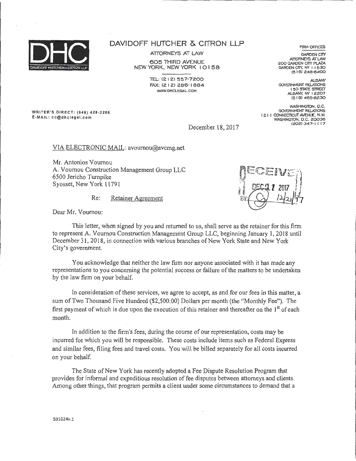

### **DAVIDOFF HUTCHER & CITRON LLP**

**ATTORNEYS AT LAW** 

605 THIRD AVENUE NEW YORK, NEW YORK I 0 I 58

> 'TEL: (21 2) 557-7200 FAX: (2 I 2) 286-1 884 WWW.DHCLEGAL.COM

WRITER'S DIRECT: (646) 428-3206 E-MAIL: cc@dhclegal.com

FIRM OFFICES

GARDEN CITY ATTORNEYS AT LAW 200 GARDEN CITY PLAZA GARDEN CITY. NY 11530 <5 I 6) 248-8400

ALBANY<br>GOVERNMENT RELATIONS I 50 STATE STREET ALBANY, NY 12207 (5 I 8) 465-8230

WASHINGTON, D.C. GOVERNMENT RELATIONS I 2 I I CONNEcncur AVENUE, N.W. WASHINGTON, D.C. 20036 (202) 347-1117

December 18, 2017

VIA ELECTRONIC MAIL: avournou@avcmg.net

Mr. Antonios Vournou A. Vournou Construction Management Group LLC 6500 Jericho Turnpike Syosset, New York 11791

Re: Retainer Agreement



Dear Mr. Vournou:

This letter, when signed by you and returned to us, shall serve as the retainer for this firm to represent A. Vournou Construction Management Group LLC, beginning January 1 , 2018 until December 31, 2018, in connection with various branches of New York State and New York City's government.

You acknowledge that neither the law firm nor anyone associated with it has made any representations to you concerning the potential success or failure of the matters to be undertaken by the law firm on your behalf.

In consideration of these services, we agree to accept, as and for our fees in this matter, a sum of Two Thousand Five Hundred (\$2,500.00) Dollars per month (the "Monthly Fee"). The first payment of which is due upon the execution of this retainer and thereafter on the 1<sup>st</sup> of each month.

In addition to the firm's fees, during the course of our representation, costs may be incurred for which you will be responsible. These costs include items such as Federal Express and similar fees, filing fees and travel costs. You will be billed separately for all costs incurred on your behalf.

The State of New York has recently adopted a Fee Dispute Resolution Program that provides for informal and expeditious resolution of fee disputes between attorneys and clients. Among other things, that program permits a client under some circumstances to demand that a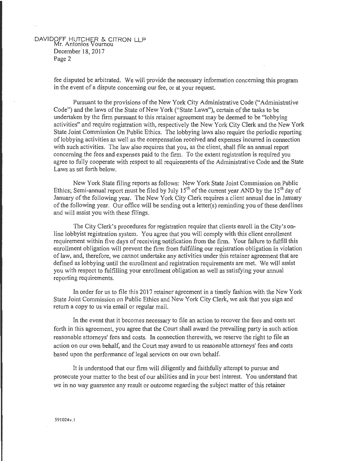#### DAVIDOFF HUTCHER & CITRON LLP Mr. Antonios Vournou December 18, 2017 Page 2

fee disputed be arbitrated. We will provide the necessary information concerning this program in the event of a dispute concerning our fee, or at your request.

Pursuant to the provisions of the New York City Administrative Code ("Administrative Code") and the laws of the State of New York ("State Laws"), certain of the tasks to be undertaken by the firm pursuant to this retainer agreement may be deemed to be "lobbying activities" and require registration with, respectively the New York City Clerk and the New York State Joint Commission On Public Ethics. The lobbying laws also require the periodic reporting of lobbying activities as well as the compensation received and expenses incurred in connection with such activities. The law also requires that you, as the client, shall file an annual report concerning the fees and expenses paid to the firm. To the extent registration is required you agree to fully cooperate with respect to all requirements of the Administrative Code and the State Laws as set forth below.

New York State filing reports as follows: New York State Joint Commission on Public Ethics; Semi-annual report must be filed by July  $15<sup>th</sup>$  of the current year AND by the  $15<sup>th</sup>$  day of January of the following year. The New York City Clerk requires a client annual due in January of the following year. Our office will be sending out a letter(s) reminding you of these deadlines and will assist you with these filings.

The City Clerk's procedures for registration require that clients enroll in the City's online lobbyist registration system. You agree that you will comply with this client enrollment requirement within five days of receiving notification from the firm. Your failure to fulfill this enrollment obligation will prevent the firm from fulfilling our registration obligation in violation of law, and, therefore, we cannot undertake any activities under this retainer agreement that are defined as lobbying until the enrollment and registration requirements are met. We will assist you with respect to fulfilling your enrollment obligation as well as satisfying your annual reporting requirements.

In order for us to file this 2017 retainer agreement in a timely fashion with the New York State Joint Commission on Public Ethics and New York City Clerk, we ask that you sign and return a copy to us via email or regular mail.

In the event that it becomes necessary to file an action to recover the fees and costs set forth in this agreement, you agree that the Court shall award the prevailing party in such action reasonable attorneys' fees and costs. In connection therewith, we reserve the right to file an action on our own behalf, and the Court may award to us reasonable attorneys' fees and costs based upon the performance of legal services on our own behalf.

It is understood that our firm will diligently and faithfully attempt to pursue and prosecute your matter to the best of our abilities and in your best interest. You understand that we in no way guarantee any result or outcome regarding the subject matter of this retainer